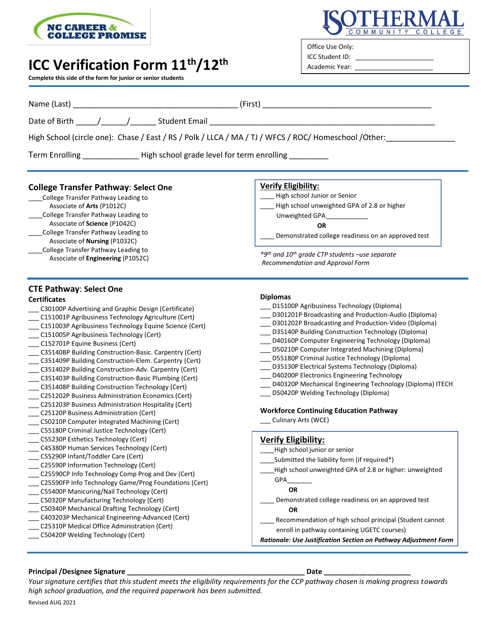

## **ICC Verification Form 11th/12th**

**Complete this side of the form for junior or senior students**



Office Use Only: ICC Student ID:

Academic Year:

| Name (Last)                                                                                                                                                                                                                                                                                                                                                                                                                                                                                                                                                                                                                                                                                                                                                              |                                                                                                                                                                                                                                                                                                                                                                                                                                                                                                                                                                                                                                                        |  |
|--------------------------------------------------------------------------------------------------------------------------------------------------------------------------------------------------------------------------------------------------------------------------------------------------------------------------------------------------------------------------------------------------------------------------------------------------------------------------------------------------------------------------------------------------------------------------------------------------------------------------------------------------------------------------------------------------------------------------------------------------------------------------|--------------------------------------------------------------------------------------------------------------------------------------------------------------------------------------------------------------------------------------------------------------------------------------------------------------------------------------------------------------------------------------------------------------------------------------------------------------------------------------------------------------------------------------------------------------------------------------------------------------------------------------------------------|--|
|                                                                                                                                                                                                                                                                                                                                                                                                                                                                                                                                                                                                                                                                                                                                                                          | <u> 1980 - Jan Barbarat, martin da shekara tshirilgan tshirilgan tshirilgan tshirilgan tshirilgan tshirilgan tsh</u>                                                                                                                                                                                                                                                                                                                                                                                                                                                                                                                                   |  |
| High School (circle one): Chase / East / RS / Polk / LLCA / MA / TJ / WFCS / ROC/ Homeschool / Other:                                                                                                                                                                                                                                                                                                                                                                                                                                                                                                                                                                                                                                                                    |                                                                                                                                                                                                                                                                                                                                                                                                                                                                                                                                                                                                                                                        |  |
| Term Enrolling _______________High school grade level for term enrolling _______                                                                                                                                                                                                                                                                                                                                                                                                                                                                                                                                                                                                                                                                                         |                                                                                                                                                                                                                                                                                                                                                                                                                                                                                                                                                                                                                                                        |  |
| <b>College Transfer Pathway: Select One</b><br>College Transfer Pathway Leading to<br>Associate of Arts (P1012C)<br>College Transfer Pathway Leading to<br>Associate of Science (P1042C)<br>College Transfer Pathway Leading to<br>Associate of <b>Nursing</b> (P1032C)<br>College Transfer Pathway Leading to<br>Associate of Engineering (P1052C)                                                                                                                                                                                                                                                                                                                                                                                                                      | <b>Verify Eligibility:</b><br>High school Junior or Senior<br>High school unweighted GPA of 2.8 or higher<br>Unweighted GPA <b>CONCORDING TO A READ PROPERTY</b><br><b>OR</b><br>Demonstrated college readiness on an approved test<br>*9th and 10th grade CTP students -use separate<br>Recommendation and Approval Form                                                                                                                                                                                                                                                                                                                              |  |
| <b>CTE Pathway: Select One</b><br><b>Certificates</b><br>C30100P Advertising and Graphic Design (Certificate)<br>C151001P Agribusiness Technology Agriculture (Cert)<br>C151003P Agribusiness Technology Equine Science (Cert)<br>__ C151005P Agribusiness Technology (Cert)<br>___ C152701P Equine Business (Cert)<br>__ C35140BP Building Construction-Basic. Carpentry (Cert)<br>C351409P Building Construction-Elem. Carpentry (Cert)<br>___ C351402P Building Construction-Adv. Carpentry (Cert)<br>[C351403P Building Construction-Basic Plumbing (Cert)<br>C351408P Building Construction Technology (Cert)<br>C251202P Business Administration Economics (Cert)<br>C251203P Business Administration Hospitality (Cert)<br>C25120P Business Administration (Cert) | <b>Diplomas</b><br>D15100P Agribusiness Technology (Diploma)<br>D301201P Broadcasting and Production-Audio (Diploma)<br>_ D301202P Broadcasting and Production-Video (Diploma)<br>D35140P Building Construction Technology (Diploma)<br>D40160P Computer Engineering Technology (Diploma)<br>D50210P Computer Integrated Machining (Diploma)<br>_ D55180P Criminal Justice Technology (Diploma)<br>D35130P Electrical Systems Technology (Diploma)<br>D40200P Electronics Engineering Technology<br>D40320P Mechanical Engineering Technology (Diploma) ITECH<br>D50420P Welding Technology (Diploma)<br><b>Workforce Continuing Education Pathway</b> |  |

- \_\_\_ C50210P Computer Integrated Machining (Cert)
- \_\_\_ C55180P Criminal Justice Technology (Cert)
- \_ C55230P Esthetics Technology (Cert)
- \_\_\_ C45380P Human Services Technology (Cert)
- \_\_\_ C55290P Infant/Toddler Care (Cert)
- \_\_\_ C25590P Information Technology (Cert)
- \_\_\_ C25590CP Info Technology Comp Prog and Dev (Cert)
- \_\_\_ C25590FP Info Technology Game/Prog Foundations (Cert)
- \_\_\_ C55400P Manicuring/Nail Technology (Cert)
- \_\_\_ C50320P Manufacturing Technology (Cert)
- \_\_\_ C50340P Mechanical Drafting Technology (Cert)
- \_\_\_ C403203P Mechanical Engineering-Advanced (Cert)
- \_\_\_ C25310P Medical Office Administration (Cert)
- \_\_\_ C50420P Welding Technology (Cert)

## **Verify Eligibility:**

Culinary Arts (WCE)

- High school junior or senior
- Submitted the liability form (if required\*)
- \_\_\_\_High school unweighted GPA of 2.8 or higher: unweighted

### GPA\_\_\_\_\_\_\_

- **OR**
- \_\_\_\_ Demonstrated college readiness on an approved test **OR**
- Recommendation of high school principal (Student cannot enroll in pathway containing UGETC courses)
- *Rationale: Use Justification Section on Pathway Adjustment Form*

#### **Principal /Designee Signature \_\_\_\_\_\_\_\_\_\_\_\_\_\_\_\_\_\_\_\_\_\_\_\_\_\_\_\_\_\_\_\_\_\_\_\_\_\_\_\_\_\_\_\_\_ Date \_\_\_\_\_\_\_\_\_\_\_\_\_\_\_\_\_\_\_\_\_\_**

*Your signature certifies that this student meets the eligibility requirements for the CCP pathway chosen is making progress towards high school graduation, and the required paperwork has been submitted.*

Revised AUG 2021